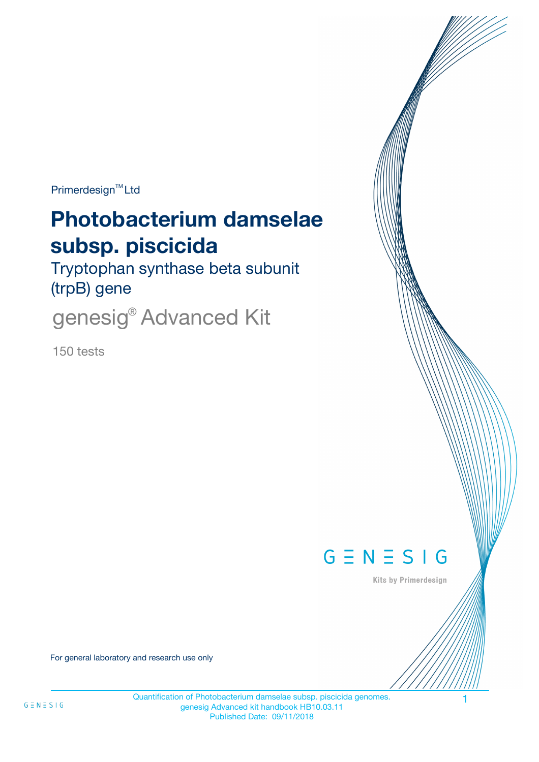Primerdesign<sup>™</sup>Ltd

# **Photobacterium damselae subsp. piscicida**

Tryptophan synthase beta subunit (trpB) gene

genesig® Advanced Kit

150 tests



Kits by Primerdesign

For general laboratory and research use only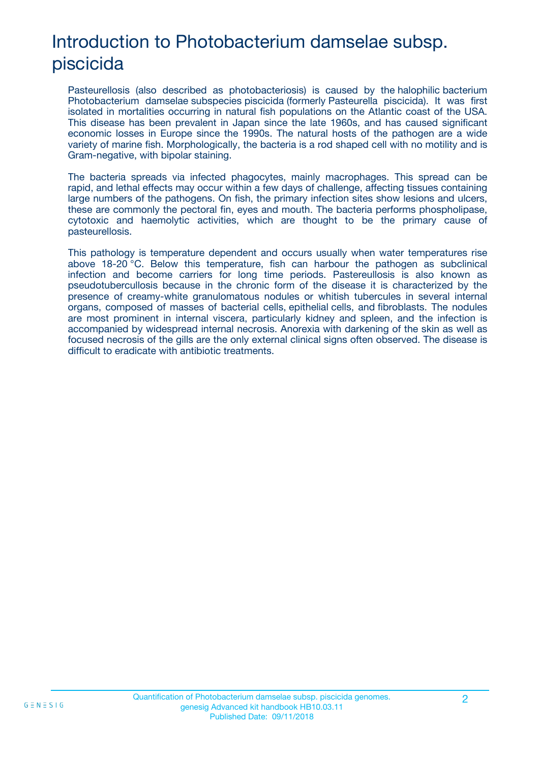## Introduction to Photobacterium damselae subsp. piscicida

Pasteurellosis (also described as photobacteriosis) is caused by the halophilic bacterium Photobacterium damselae subspecies piscicida (formerly Pasteurella piscicida). It was first isolated in mortalities occurring in natural fish populations on the Atlantic coast of the USA. This disease has been prevalent in Japan since the late 1960s, and has caused significant economic losses in Europe since the 1990s. The natural hosts of the pathogen are a wide variety of marine fish. Morphologically, the bacteria is a rod shaped cell with no motility and is Gram-negative, with bipolar staining.

The bacteria spreads via infected phagocytes, mainly macrophages. This spread can be rapid, and lethal effects may occur within a few days of challenge, affecting tissues containing large numbers of the pathogens. On fish, the primary infection sites show lesions and ulcers, these are commonly the pectoral fin, eyes and mouth. The bacteria performs phospholipase, cytotoxic and haemolytic activities, which are thought to be the primary cause of pasteurellosis.

This pathology is temperature dependent and occurs usually when water temperatures rise above 18-20 °C. Below this temperature, fish can harbour the pathogen as subclinical infection and become carriers for long time periods. Pastereullosis is also known as pseudotubercullosis because in the chronic form of the disease it is characterized by the presence of creamy-white granulomatous nodules or whitish tubercules in several internal organs, composed of masses of bacterial cells, epithelial cells, and fibroblasts. The nodules are most prominent in internal viscera, particularly kidney and spleen, and the infection is accompanied by widespread internal necrosis. Anorexia with darkening of the skin as well as focused necrosis of the gills are the only external clinical signs often observed. The disease is difficult to eradicate with antibiotic treatments.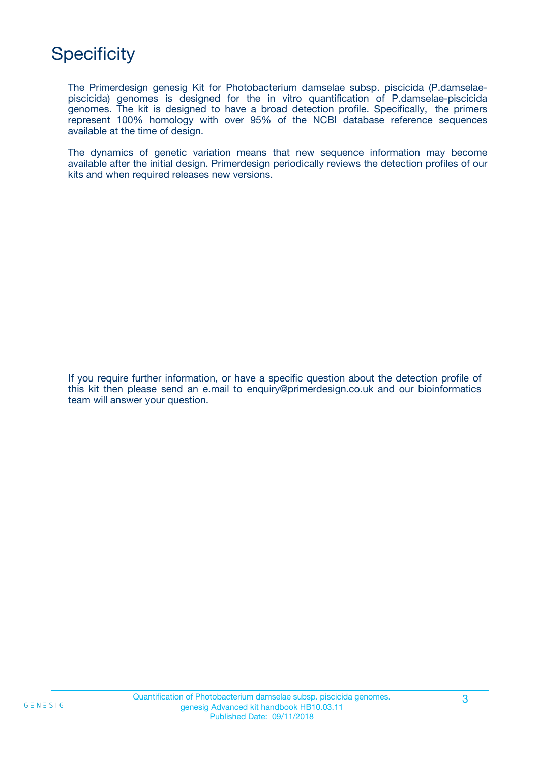## **Specificity**

The Primerdesign genesig Kit for Photobacterium damselae subsp. piscicida (P.damselaepiscicida) genomes is designed for the in vitro quantification of P.damselae-piscicida genomes. The kit is designed to have a broad detection profile. Specifically, the primers represent 100% homology with over 95% of the NCBI database reference sequences available at the time of design.

The dynamics of genetic variation means that new sequence information may become available after the initial design. Primerdesign periodically reviews the detection profiles of our kits and when required releases new versions.

If you require further information, or have a specific question about the detection profile of this kit then please send an e.mail to enquiry@primerdesign.co.uk and our bioinformatics team will answer your question.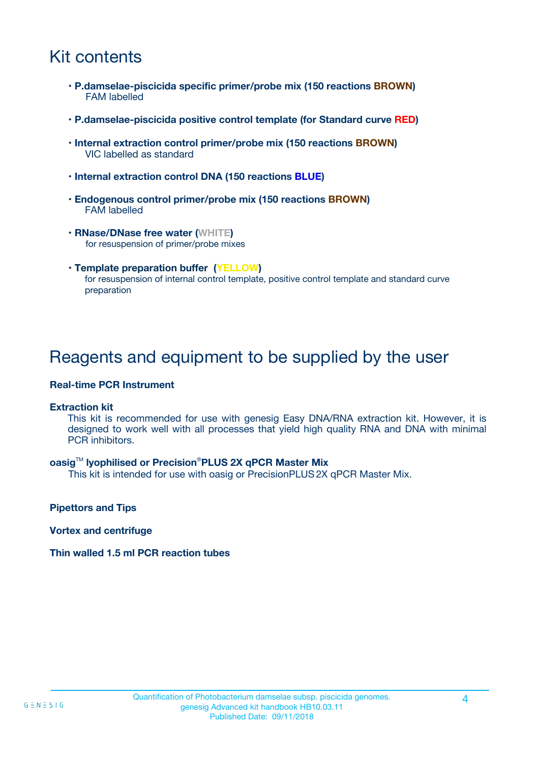## Kit contents

- **P.damselae-piscicida specific primer/probe mix (150 reactions BROWN)** FAM labelled
- **P.damselae-piscicida positive control template (for Standard curve RED)**
- **Internal extraction control primer/probe mix (150 reactions BROWN)** VIC labelled as standard
- **Internal extraction control DNA (150 reactions BLUE)**
- **Endogenous control primer/probe mix (150 reactions BROWN)** FAM labelled
- **RNase/DNase free water (WHITE)** for resuspension of primer/probe mixes
- **Template preparation buffer (YELLOW)** for resuspension of internal control template, positive control template and standard curve preparation

### Reagents and equipment to be supplied by the user

#### **Real-time PCR Instrument**

#### **Extraction kit**

This kit is recommended for use with genesig Easy DNA/RNA extraction kit. However, it is designed to work well with all processes that yield high quality RNA and DNA with minimal PCR inhibitors.

#### **oasig**TM **lyophilised or Precision**®**PLUS 2X qPCR Master Mix**

This kit is intended for use with oasig or PrecisionPLUS2X qPCR Master Mix.

**Pipettors and Tips**

**Vortex and centrifuge**

#### **Thin walled 1.5 ml PCR reaction tubes**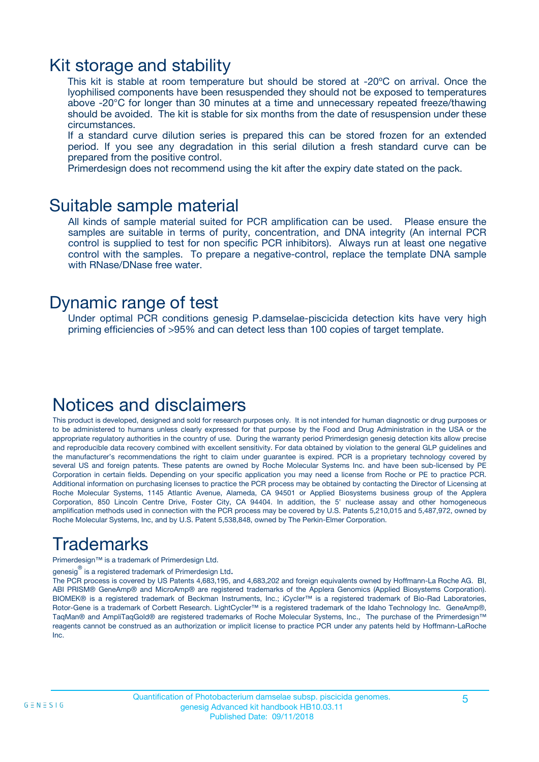### Kit storage and stability

This kit is stable at room temperature but should be stored at -20ºC on arrival. Once the lyophilised components have been resuspended they should not be exposed to temperatures above -20°C for longer than 30 minutes at a time and unnecessary repeated freeze/thawing should be avoided. The kit is stable for six months from the date of resuspension under these circumstances.

If a standard curve dilution series is prepared this can be stored frozen for an extended period. If you see any degradation in this serial dilution a fresh standard curve can be prepared from the positive control.

Primerdesign does not recommend using the kit after the expiry date stated on the pack.

### Suitable sample material

All kinds of sample material suited for PCR amplification can be used. Please ensure the samples are suitable in terms of purity, concentration, and DNA integrity (An internal PCR control is supplied to test for non specific PCR inhibitors). Always run at least one negative control with the samples. To prepare a negative-control, replace the template DNA sample with RNase/DNase free water.

### Dynamic range of test

Under optimal PCR conditions genesig P.damselae-piscicida detection kits have very high priming efficiencies of >95% and can detect less than 100 copies of target template.

### Notices and disclaimers

This product is developed, designed and sold for research purposes only. It is not intended for human diagnostic or drug purposes or to be administered to humans unless clearly expressed for that purpose by the Food and Drug Administration in the USA or the appropriate regulatory authorities in the country of use. During the warranty period Primerdesign genesig detection kits allow precise and reproducible data recovery combined with excellent sensitivity. For data obtained by violation to the general GLP guidelines and the manufacturer's recommendations the right to claim under guarantee is expired. PCR is a proprietary technology covered by several US and foreign patents. These patents are owned by Roche Molecular Systems Inc. and have been sub-licensed by PE Corporation in certain fields. Depending on your specific application you may need a license from Roche or PE to practice PCR. Additional information on purchasing licenses to practice the PCR process may be obtained by contacting the Director of Licensing at Roche Molecular Systems, 1145 Atlantic Avenue, Alameda, CA 94501 or Applied Biosystems business group of the Applera Corporation, 850 Lincoln Centre Drive, Foster City, CA 94404. In addition, the 5' nuclease assay and other homogeneous amplification methods used in connection with the PCR process may be covered by U.S. Patents 5,210,015 and 5,487,972, owned by Roche Molecular Systems, Inc, and by U.S. Patent 5,538,848, owned by The Perkin-Elmer Corporation.

## Trademarks

Primerdesign™ is a trademark of Primerdesign Ltd.

genesig $^\circledR$  is a registered trademark of Primerdesign Ltd.

The PCR process is covered by US Patents 4,683,195, and 4,683,202 and foreign equivalents owned by Hoffmann-La Roche AG. BI, ABI PRISM® GeneAmp® and MicroAmp® are registered trademarks of the Applera Genomics (Applied Biosystems Corporation). BIOMEK® is a registered trademark of Beckman Instruments, Inc.; iCycler™ is a registered trademark of Bio-Rad Laboratories, Rotor-Gene is a trademark of Corbett Research. LightCycler™ is a registered trademark of the Idaho Technology Inc. GeneAmp®, TaqMan® and AmpliTaqGold® are registered trademarks of Roche Molecular Systems, Inc., The purchase of the Primerdesign™ reagents cannot be construed as an authorization or implicit license to practice PCR under any patents held by Hoffmann-LaRoche Inc.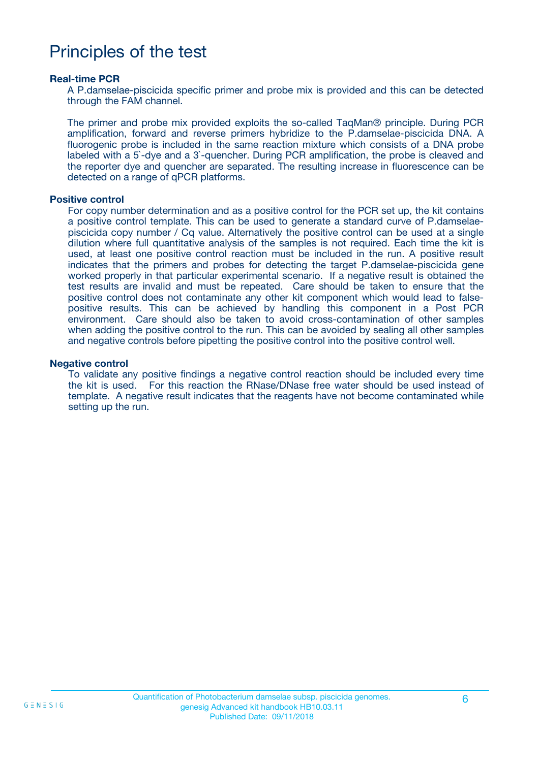### Principles of the test

#### **Real-time PCR**

A P.damselae-piscicida specific primer and probe mix is provided and this can be detected through the FAM channel.

The primer and probe mix provided exploits the so-called TaqMan® principle. During PCR amplification, forward and reverse primers hybridize to the P.damselae-piscicida DNA. A fluorogenic probe is included in the same reaction mixture which consists of a DNA probe labeled with a 5`-dye and a 3`-quencher. During PCR amplification, the probe is cleaved and the reporter dye and quencher are separated. The resulting increase in fluorescence can be detected on a range of qPCR platforms.

#### **Positive control**

For copy number determination and as a positive control for the PCR set up, the kit contains a positive control template. This can be used to generate a standard curve of P.damselaepiscicida copy number / Cq value. Alternatively the positive control can be used at a single dilution where full quantitative analysis of the samples is not required. Each time the kit is used, at least one positive control reaction must be included in the run. A positive result indicates that the primers and probes for detecting the target P.damselae-piscicida gene worked properly in that particular experimental scenario. If a negative result is obtained the test results are invalid and must be repeated. Care should be taken to ensure that the positive control does not contaminate any other kit component which would lead to falsepositive results. This can be achieved by handling this component in a Post PCR environment. Care should also be taken to avoid cross-contamination of other samples when adding the positive control to the run. This can be avoided by sealing all other samples and negative controls before pipetting the positive control into the positive control well.

#### **Negative control**

To validate any positive findings a negative control reaction should be included every time the kit is used. For this reaction the RNase/DNase free water should be used instead of template. A negative result indicates that the reagents have not become contaminated while setting up the run.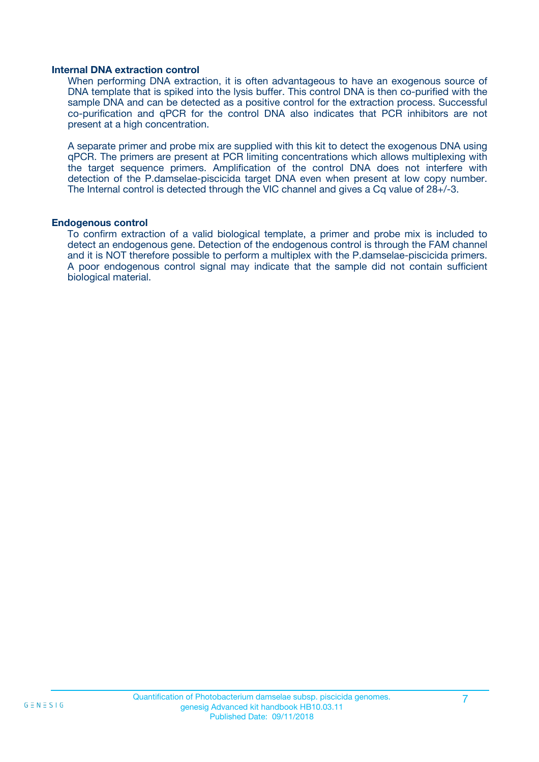#### **Internal DNA extraction control**

When performing DNA extraction, it is often advantageous to have an exogenous source of DNA template that is spiked into the lysis buffer. This control DNA is then co-purified with the sample DNA and can be detected as a positive control for the extraction process. Successful co-purification and qPCR for the control DNA also indicates that PCR inhibitors are not present at a high concentration.

A separate primer and probe mix are supplied with this kit to detect the exogenous DNA using qPCR. The primers are present at PCR limiting concentrations which allows multiplexing with the target sequence primers. Amplification of the control DNA does not interfere with detection of the P.damselae-piscicida target DNA even when present at low copy number. The Internal control is detected through the VIC channel and gives a Cq value of 28+/-3.

#### **Endogenous control**

To confirm extraction of a valid biological template, a primer and probe mix is included to detect an endogenous gene. Detection of the endogenous control is through the FAM channel and it is NOT therefore possible to perform a multiplex with the P.damselae-piscicida primers. A poor endogenous control signal may indicate that the sample did not contain sufficient biological material.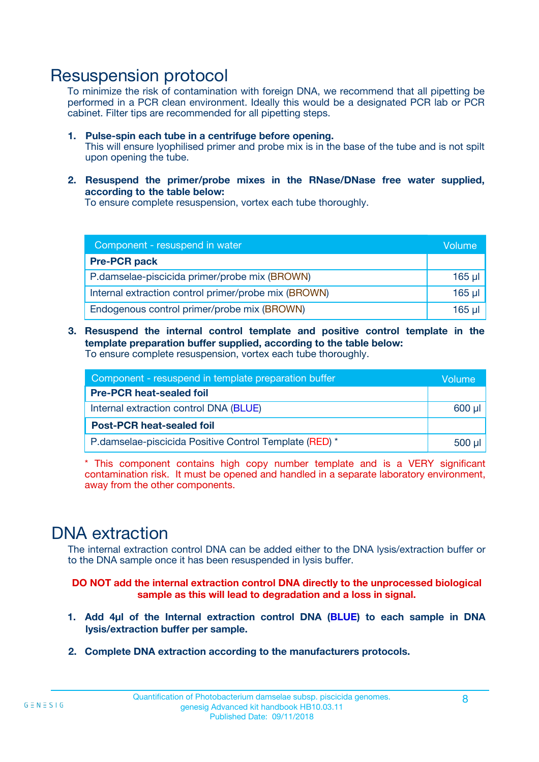### Resuspension protocol

To minimize the risk of contamination with foreign DNA, we recommend that all pipetting be performed in a PCR clean environment. Ideally this would be a designated PCR lab or PCR cabinet. Filter tips are recommended for all pipetting steps.

- **1. Pulse-spin each tube in a centrifuge before opening.** This will ensure lyophilised primer and probe mix is in the base of the tube and is not spilt upon opening the tube.
- **2. Resuspend the primer/probe mixes in the RNase/DNase free water supplied, according to the table below:**

To ensure complete resuspension, vortex each tube thoroughly.

| Component - resuspend in water                       |          |  |
|------------------------------------------------------|----------|--|
| <b>Pre-PCR pack</b>                                  |          |  |
| P.damselae-piscicida primer/probe mix (BROWN)        | $165$ µl |  |
| Internal extraction control primer/probe mix (BROWN) | $165$ µ  |  |
| Endogenous control primer/probe mix (BROWN)          | 165 µl   |  |

**3. Resuspend the internal control template and positive control template in the template preparation buffer supplied, according to the table below:** To ensure complete resuspension, vortex each tube thoroughly.

| Component - resuspend in template preparation buffer   |          |  |
|--------------------------------------------------------|----------|--|
| <b>Pre-PCR heat-sealed foil</b>                        |          |  |
| Internal extraction control DNA (BLUE)                 |          |  |
| <b>Post-PCR heat-sealed foil</b>                       |          |  |
| P.damselae-piscicida Positive Control Template (RED) * | $500$ µl |  |

\* This component contains high copy number template and is a VERY significant contamination risk. It must be opened and handled in a separate laboratory environment, away from the other components.

### DNA extraction

The internal extraction control DNA can be added either to the DNA lysis/extraction buffer or to the DNA sample once it has been resuspended in lysis buffer.

**DO NOT add the internal extraction control DNA directly to the unprocessed biological sample as this will lead to degradation and a loss in signal.**

- **1. Add 4µl of the Internal extraction control DNA (BLUE) to each sample in DNA lysis/extraction buffer per sample.**
- **2. Complete DNA extraction according to the manufacturers protocols.**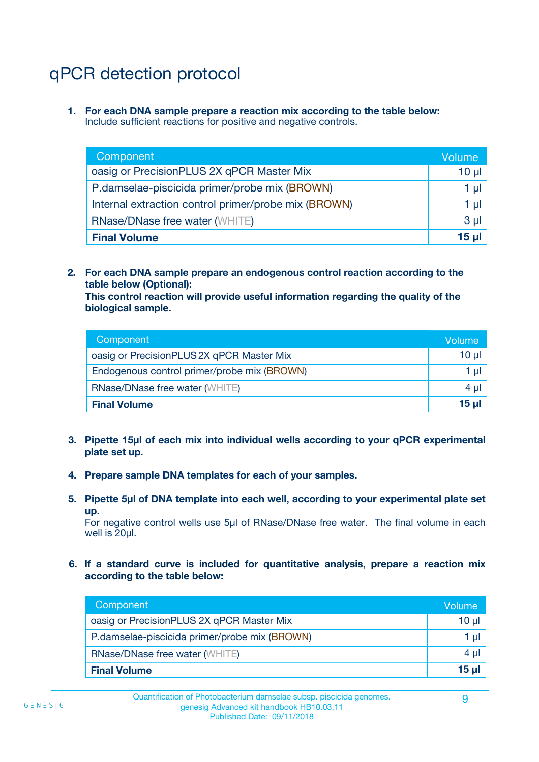## qPCR detection protocol

**1. For each DNA sample prepare a reaction mix according to the table below:** Include sufficient reactions for positive and negative controls.

| Component                                            | Volume   |
|------------------------------------------------------|----------|
| oasig or PrecisionPLUS 2X qPCR Master Mix            | $10 \mu$ |
| P.damselae-piscicida primer/probe mix (BROWN)        | 1 µl     |
| Internal extraction control primer/probe mix (BROWN) | 1 µl     |
| <b>RNase/DNase free water (WHITE)</b>                | $3 \mu$  |
| <b>Final Volume</b>                                  | 15 ul    |

**2. For each DNA sample prepare an endogenous control reaction according to the table below (Optional):**

**This control reaction will provide useful information regarding the quality of the biological sample.**

| Component                                   | Volume   |
|---------------------------------------------|----------|
| oasig or PrecisionPLUS 2X qPCR Master Mix   | $10 \mu$ |
| Endogenous control primer/probe mix (BROWN) | 1 µI     |
| <b>RNase/DNase free water (WHITE)</b>       | $4 \mu$  |
| <b>Final Volume</b>                         | 15 µl    |

- **3. Pipette 15µl of each mix into individual wells according to your qPCR experimental plate set up.**
- **4. Prepare sample DNA templates for each of your samples.**
- **5. Pipette 5µl of DNA template into each well, according to your experimental plate set up.**

For negative control wells use 5µl of RNase/DNase free water. The final volume in each well is 20ul.

**6. If a standard curve is included for quantitative analysis, prepare a reaction mix according to the table below:**

| Component                                     | Volume          |
|-----------------------------------------------|-----------------|
| oasig or PrecisionPLUS 2X qPCR Master Mix     | 10 $\mu$        |
| P.damselae-piscicida primer/probe mix (BROWN) | 1 µI            |
| RNase/DNase free water (WHITE)                | $4 \mu$         |
| <b>Final Volume</b>                           | 15 <sub>µ</sub> |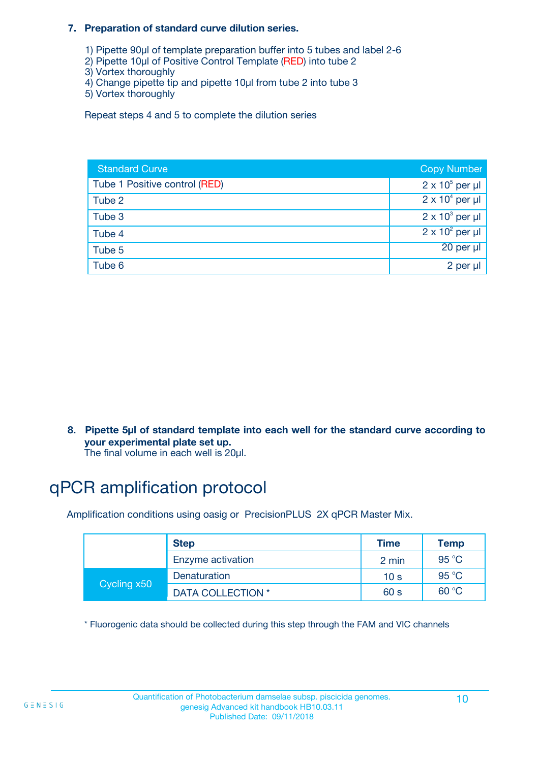#### **7. Preparation of standard curve dilution series.**

- 1) Pipette 90µl of template preparation buffer into 5 tubes and label 2-6
- 2) Pipette 10µl of Positive Control Template (RED) into tube 2
- 3) Vortex thoroughly
- 4) Change pipette tip and pipette 10µl from tube 2 into tube 3
- 5) Vortex thoroughly

Repeat steps 4 and 5 to complete the dilution series

| <b>Standard Curve</b>         | <b>Copy Number</b>     |
|-------------------------------|------------------------|
| Tube 1 Positive control (RED) | $2 \times 10^5$ per µl |
| Tube 2                        | $2 \times 10^4$ per µl |
| Tube 3                        | $2 \times 10^3$ per µl |
| Tube 4                        | $2 \times 10^2$ per µl |
| Tube 5                        | $20$ per $\mu$         |
| Tube 6                        | 2 per µl               |

**8. Pipette 5µl of standard template into each well for the standard curve according to your experimental plate set up.**

#### The final volume in each well is 20µl.

## qPCR amplification protocol

Amplification conditions using oasig or PrecisionPLUS 2X qPCR Master Mix.

|             | <b>Step</b>       | <b>Time</b>     | Temp    |
|-------------|-------------------|-----------------|---------|
|             | Enzyme activation | 2 min           | 95 °C   |
| Cycling x50 | Denaturation      | 10 <sub>s</sub> | 95 $°C$ |
|             | DATA COLLECTION * | 60 s            | 60 °C   |

\* Fluorogenic data should be collected during this step through the FAM and VIC channels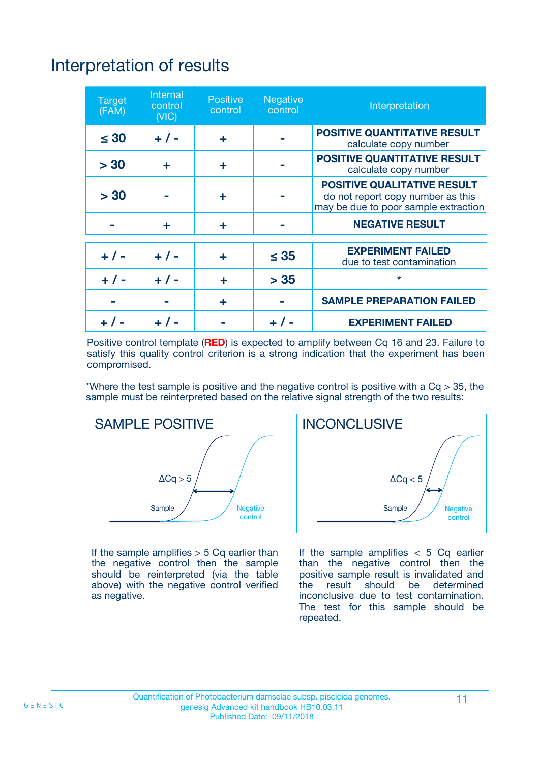## Interpretation of results

| <b>Target</b><br>(FAM) | <b>Internal</b><br>control<br>(NIC) | <b>Positive</b><br>control | <b>Negative</b><br>control | Interpretation                                                                                                  |
|------------------------|-------------------------------------|----------------------------|----------------------------|-----------------------------------------------------------------------------------------------------------------|
| $\leq 30$              | $+ 1 -$                             | ÷                          |                            | <b>POSITIVE QUANTITATIVE RESULT</b><br>calculate copy number                                                    |
| > 30                   | ٠                                   | ÷                          |                            | <b>POSITIVE QUANTITATIVE RESULT</b><br>calculate copy number                                                    |
| > 30                   |                                     | ÷                          |                            | <b>POSITIVE QUALITATIVE RESULT</b><br>do not report copy number as this<br>may be due to poor sample extraction |
|                        | ÷                                   | ÷                          |                            | <b>NEGATIVE RESULT</b>                                                                                          |
| $+ 1 -$                | $+ 1 -$                             | ÷                          | $\leq$ 35                  | <b>EXPERIMENT FAILED</b><br>due to test contamination                                                           |
| $+$ / -                | $+ 1 -$                             | ÷                          | > 35                       | $\star$                                                                                                         |
|                        |                                     | ÷                          |                            | <b>SAMPLE PREPARATION FAILED</b>                                                                                |
|                        |                                     |                            | $+$ /                      | <b>EXPERIMENT FAILED</b>                                                                                        |

Positive control template (**RED**) is expected to amplify between Cq 16 and 23. Failure to satisfy this quality control criterion is a strong indication that the experiment has been compromised.

\*Where the test sample is positive and the negative control is positive with a  $Ca > 35$ , the sample must be reinterpreted based on the relative signal strength of the two results:



If the sample amplifies  $> 5$  Cq earlier than the negative control then the sample should be reinterpreted (via the table above) with the negative control verified as negative.



If the sample amplifies  $< 5$  Cq earlier than the negative control then the positive sample result is invalidated and<br>the result should be determined  $the$  result should be inconclusive due to test contamination. The test for this sample should be repeated.